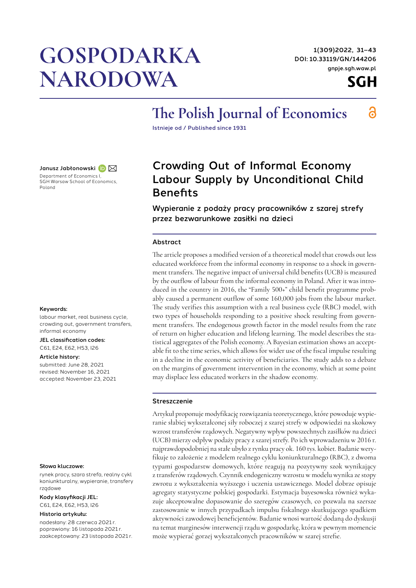# **GOSPODARKA** NARODOWA

1(309)2022, 31–43 DOI: [10.33119/GN/144206](https://doi.org/10.33119/GN/144206) [gnpje.sgh.waw.pl](http://gnpje.sgh.waw.pl)



6

## The Polish Journal of Economics

Istnieje od / Published since 1931

Janusz Jabłonowski D $\boxtimes$ 

Department of Economics I, SGH Warsaw School of Economics, Poland

#### Keywords:

labour market, real business cycle, crowding out, government transfers, informal economy

JEL classification codes: C61, E24, E62, H53, I26

#### Article history:

submitted: June 28, 2021 revised: November 16, 2021 accepted: November 23, 2021

#### Słowa kluczowe:

rynek pracy, szara strefa, realny cykl koniunkturalny, wypieranie, transfery rządowe

#### Kody klasyfikacji JEL:

C61, E24, E62, H53, I26

#### Historia artykułu:

nadesłany: 28 czerwca 2021 r. poprawiony: 16 listopada 2021 r. zaakceptowany: 23 listopada 2021 r.

### Crowding Out of Informal Economy Labour Supply by Unconditional Child **Benefits**

Wypieranie z podaży pracy pracowników z szarej strefy przez bezwarunkowe zasiłki na dzieci

#### Abstract

The article proposes a modified version of a theoretical model that crowds out less educated workforce from the informal economy in response to a shock in government transfers. The negative impact of universal child benefits (UCB) is measured by the outflow of labour from the informal economy in Poland. After it was introduced in the country in 2016, the "Family 500+" child benefit programme probably caused a permanent outflow of some 160,000 jobs from the labour market. The study verifies this assumption with a real business cycle (RBC) model, with two types of households responding to a positive shock resulting from government transfers. The endogenous growth factor in the model results from the rate of return on higher education and lifelong learning. The model describes the statistical aggregates of the Polish economy. A Bayesian estimation shows an acceptable fit to the time series, which allows for wider use of the fiscal impulse resulting in a decline in the economic activity of beneficiaries. The study adds to a debate on the margins of government intervention in the economy, which at some point may displace less educated workers in the shadow economy.

#### Streszczenie

Artykuł proponuje modyfikację rozwiązania teoretycznego, które powoduje wypieranie słabiej wykształconej siły roboczej z szarej strefy w odpowiedzi na skokowy wzrost transferów rządowych. Negatywny wpływ powszechnych zasiłków na dzieci (UCB) mierzy odpływ podaży pracy z szarej strefy. Po ich wprowadzeniu w 2016 r. najprawdopodobniej na stałe ubyło z rynku pracy ok. 160 tys. kobiet. Badanie weryfikuje to założenie z modelem realnego cyklu koniunkturalnego (RBC), z dwoma typami gospodarstw domowych, które reagują na pozytywny szok wynikający z transferów rządowych. Czynnik endogeniczny wzrostu w modelu wynika ze stopy zwrotu z wykształcenia wyższego i uczenia ustawicznego. Model dobrze opisuje agregaty statystyczne polskiej gospodarki. Estymacja bayesowska również wykazuje akceptowalne dopasowanie do szeregów czasowych, co pozwala na szersze zastosowanie w innych przypadkach impulsu fiskalnego skutkującego spadkiem aktywności zawodowej beneficjentów. Badanie wnosi wartość dodaną do dyskusji na temat marginesów interwencji rządu w gospodarkę, która w pewnym momencie może wypierać gorzej wykształconych pracowników w szarej strefie.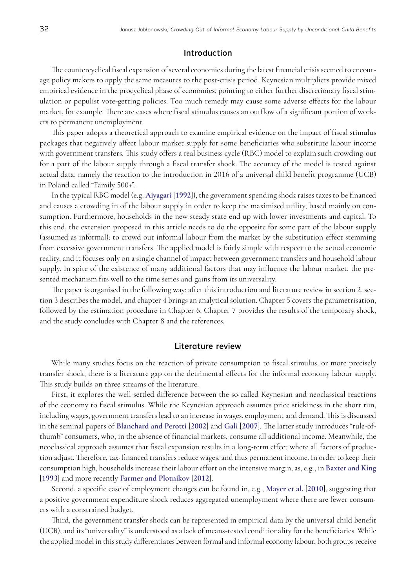#### Introduction

The countercyclical fiscal expansion of several economies during the latest financial crisis seemed to encourage policy makers to apply the same measures to the post-crisis period. Keynesian multipliers provide mixed empirical evidence in the procyclical phase of economies, pointing to either further discretionary fiscal stimulation or populist vote-getting policies. Too much remedy may cause some adverse effects for the labour market, for example. There are cases where fiscal stimulus causes an outflow of a significant portion of workers to permanent unemployment.

This paper adopts a theoretical approach to examine empirical evidence on the impact of fiscal stimulus packages that negatively affect labour market supply for some beneficiaries who substitute labour income with government transfers. This study offers a real business cycle (RBC) model to explain such crowding-out for a part of the labour supply through a fiscal transfer shock. The accuracy of the model is tested against actual data, namely the reaction to the introduction in 2016 of a universal child benefit programme (UCB) in Poland called "Family 500+".

In the typical RBC model (e.g. **Aiyagari** [**1992**]), the government spending shock raises taxes to be financed and causes a crowding in of the labour supply in order to keep the maximised utility, based mainly on consumption. Furthermore, households in the new steady state end up with lower investments and capital. To this end, the extension proposed in this article needs to do the opposite for some part of the labour supply (assumed as informal): to crowd out informal labour from the market by the substitution effect stemming from excessive government transfers. The applied model is fairly simple with respect to the actual economic reality, and it focuses only on a single channel of impact between government transfers and household labour supply. In spite of the existence of many additional factors that may influence the labour market, the presented mechanism fits well to the time series and gains from its universality.

The paper is organised in the following way: after this introduction and literature review in section 2, section 3 describes the model, and chapter 4 brings an analytical solution. Chapter 5 covers the parametrisation, followed by the estimation procedure in Chapter 6. Chapter 7 provides the results of the temporary shock, and the study concludes with Chapter 8 and the references.

#### Literature review

While many studies focus on the reaction of private consumption to fiscal stimulus, or more precisely transfer shock, there is a literature gap on the detrimental effects for the informal economy labour supply. This study builds on three streams of the literature.

First, it explores the well settled difference between the so-called Keynesian and neoclassical reactions of the economy to fiscal stimulus. While the Keynesian approach assumes price stickiness in the short run, including wages, government transfers lead to an increase in wages, employment and demand. This is discussed in the seminal papers of **Blanchard and Perotti** [**2002**] and **Gali** [**2007**]. The latter study introduces "rule-ofthumb" consumers, who, in the absence of financial markets, consume all additional income. Meanwhile, the neoclassical approach assumes that fiscal expansion results in a long-term effect where all factors of production adjust. Therefore, tax-financed transfers reduce wages, and thus permanent income. In order to keep their consumption high, households increase their labour effort on the intensive margin, as, e.g., in **Baxter and King**  [**1993**] and more recently **Farmer and Plotnikov** [**2012**].

Second, a specific case of employment changes can be found in, e.g., **[Mayer et al.](#page-12-0)** [**2010**], suggesting that a positive government expenditure shock reduces aggregated unemployment where there are fewer consumers with a constrained budget.

Third, the government transfer shock can be represented in empirical data by the universal child benefit (UCB), and its "universality" is understood as a lack of means-tested conditionality for the beneficiaries. While the applied model in this study differentiates between formal and informal economy labour, both groups receive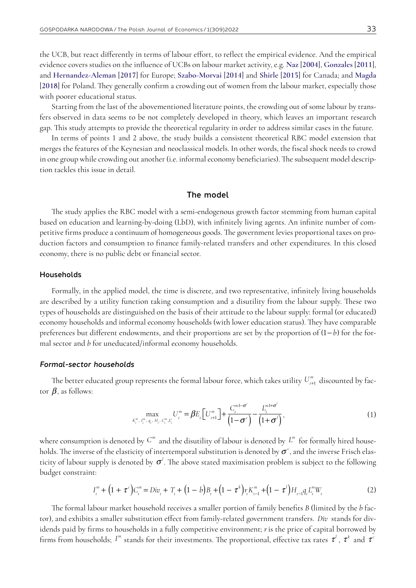the UCB, but react differently in terms of labour effort, to reflect the empirical evidence. And the empirical evidence covers studies on the influence of UCBs on labour market activity, e.g. **Naz** [**[2004](#page-12-1)**], **Gonzales** [**2011**], and **[Hernandez-Aleman](#page-11-0)** [**2017**] for Europe; **[Szabo-Morvai](#page-12-2)** [**2014**] and **[Shirle](#page-12-3)** [**2015**] for Canada; and **[Magda](#page-12-4)**  [**[2018](#page-12-4)**] for Poland. They generally confirm a crowding out of women from the labour market, especially those with poorer educational status.

Starting from the last of the abovementioned literature points, the crowding out of some labour by transfers observed in data seems to be not completely developed in theory, which leaves an important research gap. This study attempts to provide the theoretical regularity in order to address similar cases in the future.

In terms of points 1 and 2 above, the study builds a consistent theoretical RBC model extension that merges the features of the Keynesian and neoclassical models. In other words, the fiscal shock needs to crowd in one group while crowding out another (i.e. informal economy beneficiaries). The subsequent model description tackles this issue in detail.

#### The model

The study applies the RBC model with a semi-endogenous growth factor stemming from human capital based on education and learning-by-doing (LbD), with infinitely living agents. An infinite number of competitive firms produce a continuum of homogeneous goods. The government levies proportional taxes on production factors and consumption to finance family-related transfers and other expenditures. In this closed economy, there is no public debt or financial sector.

#### Households

Formally, in the applied model, the time is discrete, and two representative, infinitely living households are described by a utility function taking consumption and a disutility from the labour supply. These two types of households are distinguished on the basis of their attitude to the labour supply: formal (or educated) economy households and informal economy households (with lower education status). They have comparable preferences but different endowments, and their proportions are set by the proportion of (1− *b*) for the formal sector and *b* for uneducated/informal economy households.

#### *Formal-sector households*

The better educated group represents the formal labour force, which takes utility  $U^{\tiny m}_{\scriptscriptstyle t+1}$  discounted by factor  $\beta$ , as follows:

$$
\max_{K_t^m, I_t^m, q_t, H_t, C_t^m, L_t^s} U_t^m = \beta E_t \Big[ U_{t+1}^m \Big] + \frac{C_t^{m1 - \sigma^c}}{\Big(1 - \sigma^c\Big)} - \frac{L_t^{m1 + \sigma^l}}{\Big(1 + \sigma^l\Big)},\tag{1}
$$

where consumption is denoted by  $C^m$  and the disutility of labour is denoted by  $\it{L}^m$  for formally hired households. The inverse of the elasticity of intertemporal substitution is denoted by  $\sigma^\epsilon$ , and the inverse Frisch elasticity of labour supply is denoted by  $\sigma^l$ . The above stated maximisation problem is subject to the following budget constraint:

$$
I_t^m + (1 + \tau^c)C_t^m = Div_t + T_t + (1 - b)B_t + (1 - \tau^k)r_tK_{t-1}^m + (1 - \tau^l)H_{t-1}q_tL_t^mW_t
$$
\n(2)

The formal labour market household receives a smaller portion of family benefits *B* (limited by the *b* factor), and exhibits a smaller substitution effect from family-related government transfers. *Div* stands for dividends paid by firms to households in a fully competitive environment; *r*is the price of capital borrowed by firms from households;  $I^m$  stands for their investments. The proportional, effective tax rates  $\tau^l$  ,  $\tau^k$  and  $\tau^c$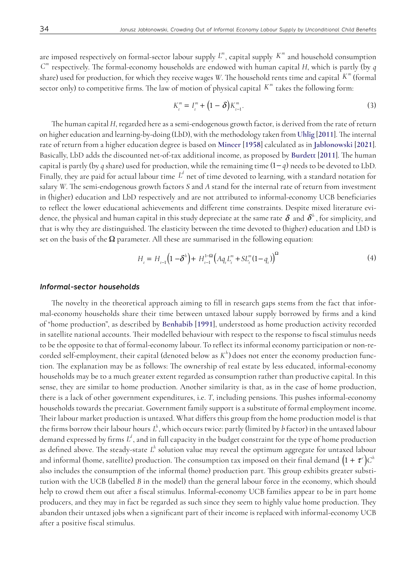are imposed respectively on formal-sector labour supply  $L^m$ , capital supply  $K^m$  and household consumption *Cm* respectively. The formal-economy households are endowed with human capital *H*, which is partly (by *q*  share) used for production, for which they receive wages  $W$ . The household rents time and capital  $K^m$  (formal sector only) to competitive firms. The law of motion of physical capital  $K^m$  takes the following form:

$$
K_t^m = I_t^m + (1 - \delta) K_{t-1}^m.
$$
\n(3)

The human capital *H*, regarded here as a semi-endogenous growth factor, is derived from the rate of return on higher education and learning-by-doing (LbD), with the methodology taken from **[Uhlig](#page-12-5)** [**2011**]. The internal rate of return from a higher education degree is based on **[Mincer](#page-12-6)** [**1958**] calculated as in **[Jabłonowski](#page-11-1)** [**2021**]. Basically, LbD adds the discounted net-of-tax additional income, as proposed by **Burdett** [**2011**]. The human capital is partly (by *q* share) used for production, while the remaining time (1− *q*) needs to be devoted to LbD. Finally, they are paid for actual labour time  $L^d$  net of time devoted to learning, with a standard notation for salary *W*. The semi-endogenous growth factors *S* and *A* stand for the internal rate of return from investment in (higher) education and LbD respectively and are not attributed to informal-economy UCB beneficiaries to reflect the lower educational achievements and different time constraints. Despite mixed literature evidence, the physical and human capital in this study depreciate at the same rate  $\delta$  and  $\delta^h$ , for simplicity, and that is why they are distinguished. The elasticity between the time devoted to (higher) education and LbD is set on the basis of the  $\Omega$  parameter. All these are summarised in the following equation:

$$
H_{t} = H_{t-1} \left( 1 - \delta^{h} \right) + H_{t-1}^{1-\Omega} \left( A q_{t} L_{t}^{m} + S L_{t}^{m} (1 - q_{t}) \right)^{\Omega} \tag{4}
$$

#### *Informal-sector households*

The novelty in the theoretical approach aiming to fill in research gaps stems from the fact that informal-economy households share their time between untaxed labour supply borrowed by firms and a kind of "home production", as described by **Benhabib** [**1991**], understood as home production activity recorded in satellite national accounts. Their modelled behaviour with respect to the response to fiscal stimulus needs to be the opposite to that of formal-economy labour. To reflect its informal economy participation or non-recorded self-employment, their capital (denoted below as *K<sup>h</sup>* ) does not enter the economy production function. The explanation may be as follows: The ownership of real estate by less educated, informal-economy households may be to a much greater extent regarded as consumption rather than productive capital. In this sense, they are similar to home production. Another similarity is that, as in the case of home production, there is a lack of other government expenditures, i.e. *T*, including pensions. This pushes informal-economy households towards the precariat. Government family support is a substitute of formal employment income. Their labour market production is untaxed. What differs this group from the home production model is that the firms borrow their labour hours *L h* , which occurs twice: partly (limited by *b* factor) in the untaxed labour demand expressed by firms *L d* , and in full capacity in the budget constraint for the type of home production as defined above. The steady-state  $L^h$  solution value may reveal the optimum aggregate for untaxed labour and informal (home, satellite) production. The consumption tax imposed on their final demand  $(1 + \tau^c)C^h$ also includes the consumption of the informal (home) production part. This group exhibits greater substitution with the UCB (labelled *B* in the model) than the general labour force in the economy, which should help to crowd them out after a fiscal stimulus. Informal-economy UCB families appear to be in part home producers, and they may in fact be regarded as such since they seem to highly value home production. They abandon their untaxed jobs when a significant part of their income is replaced with informal-economy UCB after a positive fiscal stimulus.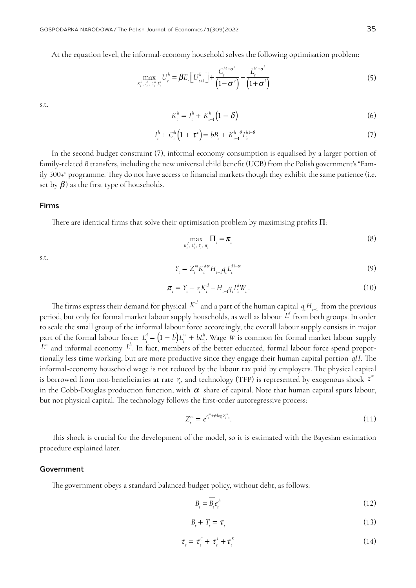At the equation level, the informal-economy household solves the following optimisation problem:

$$
\max_{K_t^h, I_t^h, C_t^h, I_t^h} U_t^h = \beta E_t \left[ U_{t+1}^h \right] + \frac{C_t^{h1-\sigma^c}}{\left(1-\sigma^c\right)} - \frac{L_t^{h1+\sigma^l}}{\left(1+\sigma^l\right)} \tag{5}
$$

s.t.

$$
K_t^h = I_t^h + K_{t-1}^h (1 - \delta)
$$
\n(6)

$$
I_t^h + C_t^h \left( 1 + \tau^c \right) = b B_t + K_{t-1}^h \, \theta L_t^{h1-\theta} \tag{7}
$$

In the second budget constraint (7), informal economy consumption is equalised by a larger portion of family-related *B* transfers, including the new universal child benefit (UCB) from the Polish government's "Family 500+" programme. They do not have access to financial markets though they exhibit the same patience (i.e. set by  $\beta$ ) as the first type of households.

#### Firms

There are identical firms that solve their optimisation problem by maximising profits Π:

$$
\max_{K_t^d, L_t^d, Y_t, \pi_t} \Pi_t = \pi_t \tag{8}
$$

s.t.

$$
Y_{t} = Z_{t}^{m} K_{t}^{d\alpha} H_{t-1} q_{t} L_{t}^{d1-\alpha}
$$
\n(9)

$$
\pi_{t} = Y_{t} - r_{t} K_{t}^{d} - H_{t-1} q_{t} L_{t}^{d} W_{t}.
$$
\n(10)

The firms express their demand for physical  $K^d$  and a part of the human capital  $q_t H_{t-1}$  from the previous period, but only for formal market labour supply households, as well as labour *L d* from both groups. In order to scale the small group of the informal labour force accordingly, the overall labour supply consists in major part of the formal labour force:  $L_t^d = (1-b)L_t^m + bL_t^h$ . Wage *W* is common for formal market labour supply *L m* and informal economy *L h* . In fact, members of the better educated, formal labour force spend proportionally less time working, but are more productive since they engage their human capital portion *qH*. The informal-economy household wage is not reduced by the labour tax paid by employers. The physical capital is borrowed from non-beneficiaries at rate  $r_t$ , and technology (TFP) is represented by exogenous shock  $z^m$ in the Cobb-Douglas production function, with  $\alpha$  share of capital. Note that human capital spurs labour, but not physical capital. The technology follows the first-order autoregressive process:

$$
Z_t^m = e^{e_t^m + \phi \log Z_{t-1}^m}.
$$
\n(11)

This shock is crucial for the development of the model, so it is estimated with the Bayesian estimation procedure explained later.

#### Government

The government obeys a standard balanced budget policy, without debt, as follows:

$$
B_{t} = \overline{B_{t}} \epsilon_{t}^{b} \tag{12}
$$

$$
B_t + T_t = \tau_t \tag{13}
$$

$$
\tau_{t} = \tau_{t}^{C} + \tau_{t}^{L} + \tau_{t}^{K} \tag{14}
$$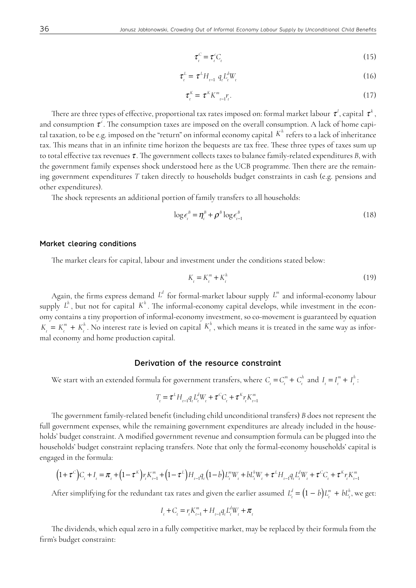$$
\tau_{t}^{C} = \tau_{t}^{C} C_{t} \tag{15}
$$

$$
\tau_{t}^{L} = \tau^{L} H_{t-1} q_{t} L_{t}^{d} W_{t} \tag{16}
$$

$$
\boldsymbol{\tau}_{t}^{K} = \boldsymbol{\tau}^{K} \boldsymbol{K}_{t-1}^{m} \boldsymbol{r}_{t}.
$$
\n
$$
(17)
$$

There are three types of effective, proportional tax rates imposed on: formal market labour  $\tau^l$ , capital  $\tau^k$  , and consumption  $\tau^c$ . The consumption taxes are imposed on the overall consumption. A lack of home capital taxation, to be e.g. imposed on the "return" on informal economy capital *K<sup>h</sup>* refers to a lack of inheritance tax. This means that in an infinite time horizon the bequests are tax free. These three types of taxes sum up to total effective tax revenues  $\tau$ . The government collects taxes to balance family-related expenditures  $B$ , with the government family expenses shock understood here as the UCB programme. Then there are the remaining government expenditures *T* taken directly to households budget constraints in cash (e.g. pensions and other expenditures).

The shock represents an additional portion of family transfers to all households:

$$
\log \epsilon_i^B = \eta_i^B + \rho^B \log \epsilon_{i-1}^B \tag{18}
$$

#### Market clearing conditions

The market clears for capital, labour and investment under the conditions stated below:

$$
K_t = K_t^m + K_t^h \tag{19}
$$

Again, the firms express demand  $L^d$  for formal-market labour supply  $L^m$  and informal-economy labour supply  $L^h$  , but not for capital  $K^h$  . The informal-economy capital develops, while investment in the economy contains a tiny proportion of informal-economy investment, so co-movement is guaranteed by equation  $K_t = K_t^m + K_t^h$ . No interest rate is levied on capital  $K_t^h$ , which means it is treated in the same way as informal economy and home production capital.

#### Derivation of the resource constraint

We start with an extended formula for government transfers, where  $C_t = C_t^m + C_t^h$  and  $I_t = I_t^m + I_t^h$ .

$$
T_{t} = \tau^{L} H_{t-1} q_{t} L_{t}^{d} W_{t} + \tau^{C} C_{t} + \tau^{K} r_{t} K_{t-1}^{m}
$$

The government family-related benefit (including child unconditional transfers) *B* does not represent the full government expenses, while the remaining government expenditures are already included in the households' budget constraint. A modified government revenue and consumption formula can be plugged into the households' budget constraint replacing transfers. Note that only the formal-economy households' capital is engaged in the formula:

$$
(1+\tau^{c})C_{t}+I_{t} = \pi_{t} + (1-\tau^{K})r_{t}K_{t-1}^{m} + (1-\tau^{L})H_{t-1}q_{t}(1-b)L_{t}^{m}W_{t} + bL_{t}^{h}W_{t} + \tau^{L}H_{t-1}q_{t}L_{t}^{d}W_{t} + \tau^{c}C_{t} + \tau^{K}r_{t}K_{t-1}^{m}
$$

After simplifying for the redundant tax rates and given the earlier assumed  $L_t^d = (1-b)L_t^m + bL_t^h$ , we get:

$$
I_{t} + C_{t} = r_{t} K_{t-1}^{m} + H_{t-1} q_{t} L_{t}^{d} W_{t} + \pi_{t}
$$

The dividends, which equal zero in a fully competitive market, may be replaced by their formula from the firm's budget constraint: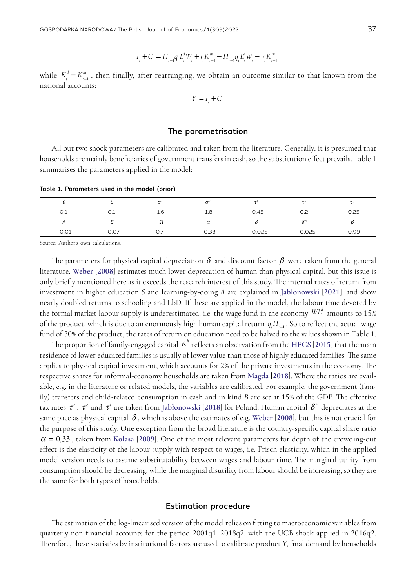$$
I_{t} + C_{t} = H_{t-1}q_{t}L_{t}^{d}W_{t} + r_{t}K_{t-1}^{m} - H_{t-1}q_{t}L_{t}^{d}W_{t} - r_{t}K_{t-1}^{m}
$$

while  $K_t^d = K_{t-1}^m$ , then finally, after rearranging, we obtain an outcome similar to that known from the national accounts:

$$
Y_t = I_t + C_t
$$

#### The parametrisation

All but two shock parameters are calibrated and taken from the literature. Generally, it is presumed that households are mainly beneficiaries of government transfers in cash, so the substitution effect prevails. Table 1 summarises the parameters applied in the model:

Table 1. Parameters used in the model (prior)

| 0.1  | U.I  | 1.6 | 1.8  | 0.45  |       | 0.25 |
|------|------|-----|------|-------|-------|------|
|      |      | 77  | u    |       |       |      |
| 0.01 | 0.07 | O.7 | 0.33 | 0.025 | 0.025 | 0.99 |

Source: Author's own calculations.

The parameters for physical capital depreciation  $\delta$  and discount factor  $\beta$  were taken from the general literature. **[Weber](#page-12-7)** [**2008**] estimates much lower deprecation of human than physical capital, but this issue is only briefly mentioned here as it exceeds the research interest of this study. The internal rates of return from investment in higher education *S* and learning-by-doing *A* are explained in **[Jabłonowski](#page-11-1)** [**2021**], and show nearly doubled returns to schooling and LbD. If these are applied in the model, the labour time devoted by the formal market labour supply is underestimated, i.e. the wage fund in the economy  $\mathbb{W} L^d$  amounts to 15% of the product, which is due to an enormously high human capital return  $q_t H_{t-1}$ . So to reflect the actual wage fund of 30% of the product, the rates of return on education need to be halved to the values shown in Table 1.

The proportion of family-engaged capital *K<sup>h</sup>* reflects an observation from the **[HFCS](#page-11-2)** [**2015**] that the main residence of lower educated families is usually of lower value than those of highly educated families. The same applies to physical capital investment, which accounts for 2% of the private investments in the economy. The respective shares for informal-economy households are taken from **[Magda](#page-12-4)** [**2018**]. Where the ratios are available, e.g. in the literature or related models, the variables are calibrated. For example, the government (family) transfers and child-related consumption in cash and in kind *B* are set at 15% of the GDP. The effective tax rates τ*<sup>c</sup>* , τ*<sup>k</sup>* and τ*<sup>l</sup>* are taken from **[Jabłonowski](#page-11-1)** [**2018**] for Poland. Human capital δ*<sup>h</sup>* depreciates at the same pace as physical capital  $\delta$ , which is above the estimates of e.g. [Weber](#page-12-7) [2008], but this is not crucial for the purpose of this study. One exception from the broad literature is the country-specific capital share ratio  $\alpha$  = 0,33, taken from [Kolasa](#page-12-8) [2009]. One of the most relevant parameters for depth of the crowding-out effect is the elasticity of the labour supply with respect to wages, i.e. Frisch elasticity, which in the applied model version needs to assume substitutability between wages and labour time. The marginal utility from consumption should be decreasing, while the marginal disutility from labour should be increasing, so they are the same for both types of households.

#### Estimation procedure

The estimation of the log-linearised version of the model relies on fitting to macroeconomic variables from quarterly non-financial accounts for the period 2001q1–2018q2, with the UCB shock applied in 2016q2. Therefore, these statistics by institutional factors are used to calibrate product *Y*, final demand by households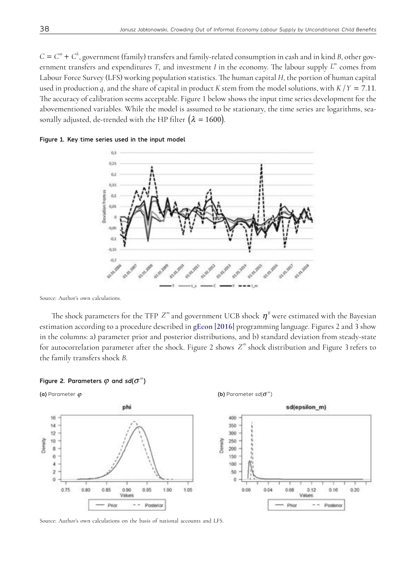$C = C<sup>m</sup> + C<sup>h</sup>$ , government (family) transfers and family-related consumption in cash and in kind *B*, other government transfers and expenditures *T*, and investment *I* in the economy. The labour supply  $L^m$  comes from Labour Force Survey (LFS) working population statistics. The human capital *H*, the portion of human capital used in production *q*, and the share of capital in product *K* stem from the model solutions, with *K* /*Y* = 7.11. The accuracy of calibration seems acceptable. Figure 1 below shows the input time series development for the abovementioned variables. While the model is assumed to be stationary, the time series are logarithms, seasonally adjusted, de-trended with the HP filter ( $\lambda = 1600$ ).

Figure 1. Key time series used in the input model



Source: Author's own calculations.

The shock parameters for the TFP  $Z^m$  and government UCB shock  $\eta^B$  were estimated with the Bayesian estimation according to a procedure described in **[gEcon](#page-12-9)** [**2016**] programming language. Figures 2 and 3 show in the columns: a) parameter prior and posterior distributions, and b) standard deviation from steady-state for autocorrelation parameter after the shock. Figure 2 shows *Z<sup>m</sup>* shock distribution and Figure 3 refers to the family transfers shock *B*.





Source: Author's own calculations on the basis of national accounts and LFS.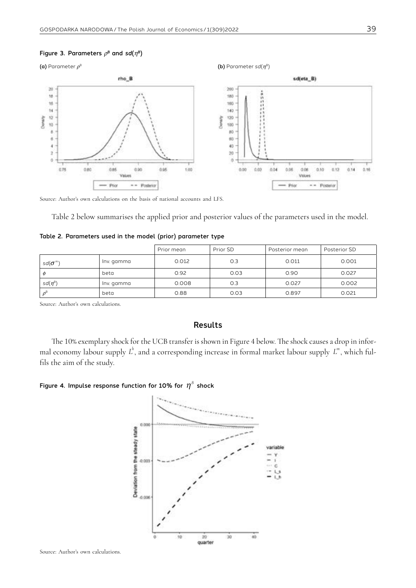#### Figure 3. Parameters  $\rho^B$  and  $sd(\eta^B)$



Source: Author's own calculations on the basis of national accounts and LFS.

Table 2 below summarises the applied prior and posterior values of the parameters used in the model.

|                    |            | Prior mean | Prior SD | Posterior mean | Posterior SD |
|--------------------|------------|------------|----------|----------------|--------------|
| sd $\sigma^{m}$    | Inv. gamma | 0.012      | O.3      | 0.011          | 0.001        |
| $\varphi$          | beta       | 0.92       | 0.03     | 0.90           | 0.027        |
| $sd(\eta^{\beta})$ | Inv. gamma | 0.008      | 0.3      | 0.027          | 0.002        |
| $\rho^{\beta}$     | beta       | 0.88       | 0.03     | 0.897          | 0.021        |

|  | Table 2. Parameters used in the model (prior) parameter type |  |  |  |  |  |  |
|--|--------------------------------------------------------------|--|--|--|--|--|--|
|--|--------------------------------------------------------------|--|--|--|--|--|--|

Source: Author's own calculations.

#### Results

The 10% exemplary shock for the UCB transfer is shown in Figure 4 below. The shock causes a drop in informal economy labour supply  $L^h$ , and a corresponding increase in formal market labour supply  $L^m$ , which fulfils the aim of the study.

#### Figure 4. Impulse response function for 10% for  $\eta^B$  shock



Source: Author's own calculations.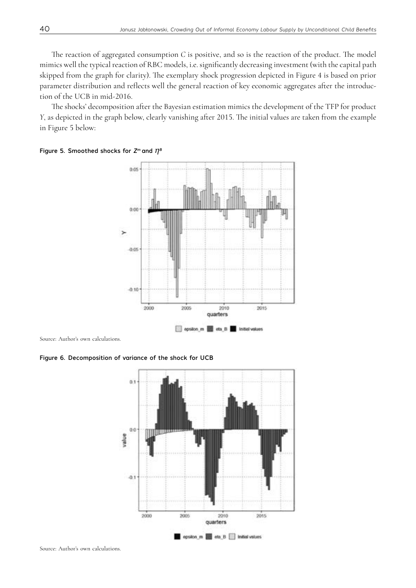The reaction of aggregated consumption *C* is positive, and so is the reaction of the product. The model mimics well the typical reaction of RBC models, i.e. significantly decreasing investment (with the capital path skipped from the graph for clarity). The exemplary shock progression depicted in Figure 4 is based on prior parameter distribution and reflects well the general reaction of key economic aggregates after the introduction of the UCB in mid-2016.

The shocks' decomposition after the Bayesian estimation mimics the development of the TFP for product *Y*, as depicted in the graph below, clearly vanishing after 2015. The initial values are taken from the example in Figure 5 below:



#### Figure 5. Smoothed shocks for  $Z^m$  and  $\eta^B$

Source: Author's own calculations.

Figure 6. Decomposition of variance of the shock for UCB

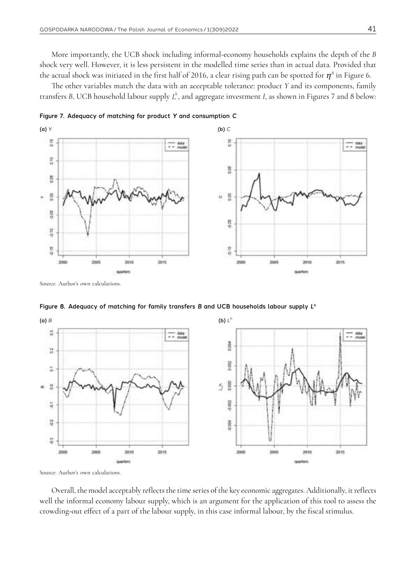More importantly, the UCB shock including informal-economy households explains the depth of the *B*  shock very well. However, it is less persistent in the modelled time series than in actual data. Provided that the actual shock was initiated in the first half of 2016, a clear rising path can be spotted for  $\eta^B$  in Figure 6.

The other variables match the data with an acceptable tolerance: product *Y* and its components, family transfers *B*, UCB household labour supply  $L^h$ , and aggregate investment *I*, as shown in Figures 7 and 8 below:



Figure 8. Adequacy of matching for family transfers *B* and UCB households labour supply *Lh*



Source: Author's own calculations.

Overall, the model acceptably reflects the time series of the key economic aggregates. Additionally, it reflects well the informal economy labour supply, which is an argument for the application of this tool to assess the crowding-out effect of a part of the labour supply, in this case informal labour, by the fiscal stimulus.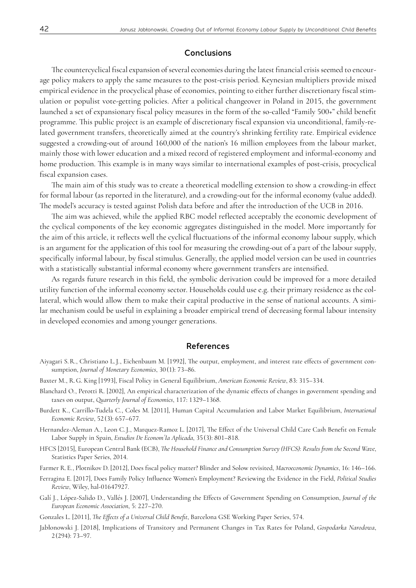#### **Conclusions**

The countercyclical fiscal expansion of several economies during the latest financial crisis seemed to encourage policy makers to apply the same measures to the post-crisis period. Keynesian multipliers provide mixed empirical evidence in the procyclical phase of economies, pointing to either further discretionary fiscal stimulation or populist vote-getting policies. After a political changeover in Poland in 2015, the government launched a set of expansionary fiscal policy measures in the form of the so-called "Family 500+" child benefit programme. This public project is an example of discretionary fiscal expansion via unconditional, family-related government transfers, theoretically aimed at the country's shrinking fertility rate. Empirical evidence suggested a crowding-out of around 160,000 of the nation's 16 million employees from the labour market, mainly those with lower education and a mixed record of registered employment and informal-economy and home production. This example is in many ways similar to international examples of post-crisis, procyclical fiscal expansion cases.

The main aim of this study was to create a theoretical modelling extension to show a crowding-in effect for formal labour (as reported in the literature), and a crowding-out for the informal economy (value added). The model's accuracy is tested against Polish data before and after the introduction of the UCB in 2016.

The aim was achieved, while the applied RBC model reflected acceptably the economic development of the cyclical components of the key economic aggregates distinguished in the model. More importantly for the aim of this article, it reflects well the cyclical fluctuations of the informal economy labour supply, which is an argument for the application of this tool for measuring the crowding-out of a part of the labour supply, specifically informal labour, by fiscal stimulus. Generally, the applied model version can be used in countries with a statistically substantial informal economy where government transfers are intensified.

As regards future research in this field, the symbolic derivation could be improved for a more detailed utility function of the informal economy sector. Households could use e.g. their primary residence as the collateral, which would allow them to make their capital productive in the sense of national accounts. A similar mechanism could be useful in explaining a broader empirical trend of decreasing formal labour intensity in developed economies and among younger generations.

#### References

- Aiyagari S. R., Christiano L. J., Eichenbaum M. [1992], The output, employment, and interest rate effects of government consumption, *Journal of Monetary Economics*, 30 (1): 73–86.
- Baxter M., R. G. King [1993], Fiscal Policy in General Equilibrium, *American Economic Review*, 83: 315–334.
- Blanchard O., Perotti R. [2002], An empirical characterization of the dynamic effects of changes in government spending and taxes on output, *Quarterly Journal of Economics*, 117: 1329–1368.
- Burdett K., Carrillo-Tudela C., Coles M. [2011], Human Capital Accumulation and Labor Market Equilibrium, *International Economic Review*, 52 (3): 657–677.
- <span id="page-11-0"></span>Hernandez-Aleman A., Leon C. J., Marquez-Ramoz L. [2017], The Effect of the Universal Child Care Cash Benefit on Female Labor Supply in Spain, *Estudios De Econom´Ia Aplicada*, 35 (3): 801–818.
- <span id="page-11-2"></span>HFCS [2015], European Central Bank (ECB), *The Household Finance and Consumption Survey (HFCS): Results from the Second Wave*, Statistics Paper Series, 2014.
- Farmer R. E., Plotnikov D. [2012], Does fiscal policy matter? Blinder and Solow revisited, *Macroeconomic Dynamics*, 16: 146–166.
- Ferragina E. [2017], Does Family Policy Influence Women's Employment? Reviewing the Evidence in the Field, *Political Studies Review*, Wiley, hal-01647927.
- Galí J., López-Salido D., Vallés J. [2007], Understanding the Effects of Government Spending on Consumption, *Journal of the European Economic Association*, 5: 227–270.
- Gonzales L. [2011], *The Effects of a Universal Child Benefit*, Barcelona GSE Working Paper Series, 574.
- <span id="page-11-1"></span>Jabłonowski J. [2018], Implications of Transitory and Permanent Changes in Tax Rates for Poland, *Gospodarka Narodowa*, 2 (294): 73–97.